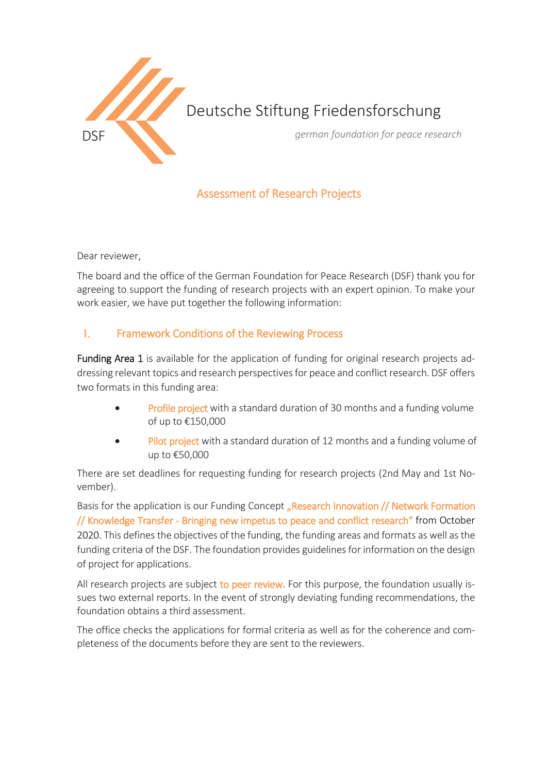

# Deutsche Stiftung Friedensforschung

DSF *german foundation for peace research*

# Assessment of Research Projects

Dear reviewer,

The board and the office of the German Foundation for Peace Research (DSF) thank you for agreeing to support the funding of research projects with an expert opinion. To make your work easier, we have put together the following information:

## I. Framework Conditions of the Reviewing Process

Funding Area 1 is available for the application of funding for original research projects addressing relevant topics and research perspectives for peace and conflict research. DSF offers two formats in this funding area:

- Profile project with a standard duration of 30 months and a funding volume of up to €150,000
- Pilot project with a standard duration of 12 months and a funding volume of up to €50,000

There are set deadlines for requesting funding for research projects (2nd May and 1st November).

Basis for the application is our Funding Concept "Research Innovation // Network Formation // Knowledge Transfer - Bringing new impetus to peace and conflict research" from October 2020. This defines the objectives of the funding, the funding areas and formats as well as the funding criteria of the DSF. The foundation provides guidelines for information on the design of project for applications.

All research projects are subject to peer review. For this purpose, the foundation usually issues two external reports. In the event of strongly deviating funding recommendations, the foundation obtains a third assessment.

The office checks the applications for formal criteria as well as for the coherence and completeness of the documents before they are sent to the reviewers.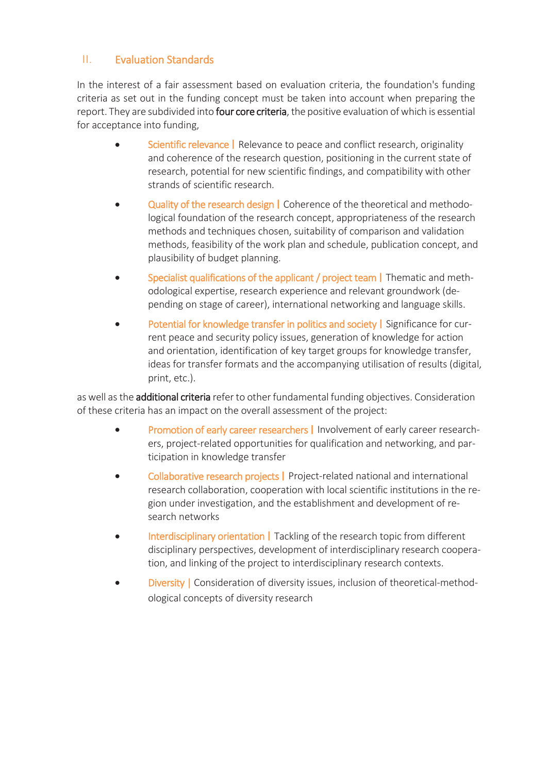# II. Evaluation Standards

In the interest of a fair assessment based on evaluation criteria, the foundation's funding criteria as set out in the funding concept must be taken into account when preparing the report. They are subdivided into four core criteria, the positive evaluation of which is essential for acceptance into funding,

- **Scientific relevance** | Relevance to peace and conflict research, originality and coherence of the research question, positioning in the current state of research, potential for new scientific findings, and compatibility with other strands of scientific research.
- Quality of the research design | Coherence of the theoretical and methodological foundation of the research concept, appropriateness of the research methods and techniques chosen, suitability of comparison and validation methods, feasibility of the work plan and schedule, publication concept, and plausibility of budget planning.
- Specialist qualifications of the applicant / project team | Thematic and methodological expertise, research experience and relevant groundwork (depending on stage of career), international networking and language skills.
- Potential for knowledge transfer in politics and society | Significance for current peace and security policy issues, generation of knowledge for action and orientation, identification of key target groups for knowledge transfer, ideas for transfer formats and the accompanying utilisation of results (digital, print, etc.).

as well as the **additional criteria** refer to other fundamental funding objectives. Consideration of these criteria has an impact on the overall assessment of the project:

- **Promotion of early career researchers** I Involvement of early career researchers, project-related opportunities for qualification and networking, and participation in knowledge transfer
- Collaborative research projects | Project-related national and international research collaboration, cooperation with local scientific institutions in the region under investigation, and the establishment and development of research networks
- Interdisciplinary orientation | Tackling of the research topic from different disciplinary perspectives, development of interdisciplinary research cooperation, and linking of the project to interdisciplinary research contexts.
- **Diversity** | Consideration of diversity issues, inclusion of theoretical-methodological concepts of diversity research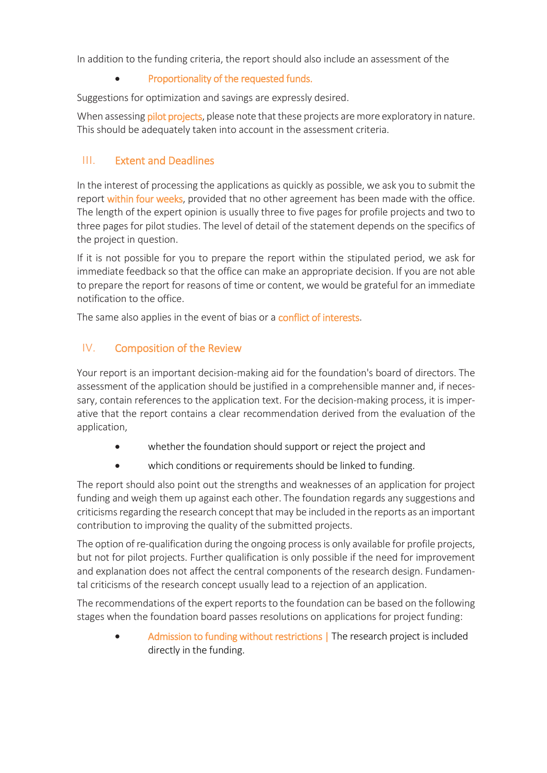In addition to the funding criteria, the report should also include an assessment of the

#### • Proportionality of the requested funds.

Suggestions for optimization and savings are expressly desired.

When assessing pilot projects, please note that these projects are more exploratory in nature. This should be adequately taken into account in the assessment criteria.

# III. Extent and Deadlines

In the interest of processing the applications as quickly as possible, we ask you to submit the report within four weeks, provided that no other agreement has been made with the office. The length of the expert opinion is usually three to five pages for profile projects and two to three pages for pilot studies. The level of detail of the statement depends on the specifics of the project in question.

If it is not possible for you to prepare the report within the stipulated period, we ask for immediate feedback so that the office can make an appropriate decision. If you are not able to prepare the report for reasons of time or content, we would be grateful for an immediate notification to the office.

The same also applies in the event of bias or a conflict of interests.

# IV. Composition of the Review

Your report is an important decision-making aid for the foundation's board of directors. The assessment of the application should be justified in a comprehensible manner and, if necessary, contain references to the application text. For the decision-making process, it is imperative that the report contains a clear recommendation derived from the evaluation of the application,

- whether the foundation should support or reject the project and
- which conditions or requirements should be linked to funding.

The report should also point out the strengths and weaknesses of an application for project funding and weigh them up against each other. The foundation regards any suggestions and criticisms regarding the research concept that may be included in the reports as an important contribution to improving the quality of the submitted projects.

The option of re-qualification during the ongoing process is only available for profile projects, but not for pilot projects. Further qualification is only possible if the need for improvement and explanation does not affect the central components of the research design. Fundamental criticisms of the research concept usually lead to a rejection of an application.

The recommendations of the expert reports to the foundation can be based on the following stages when the foundation board passes resolutions on applications for project funding:

Admission to funding without restrictions | The research project is included directly in the funding.